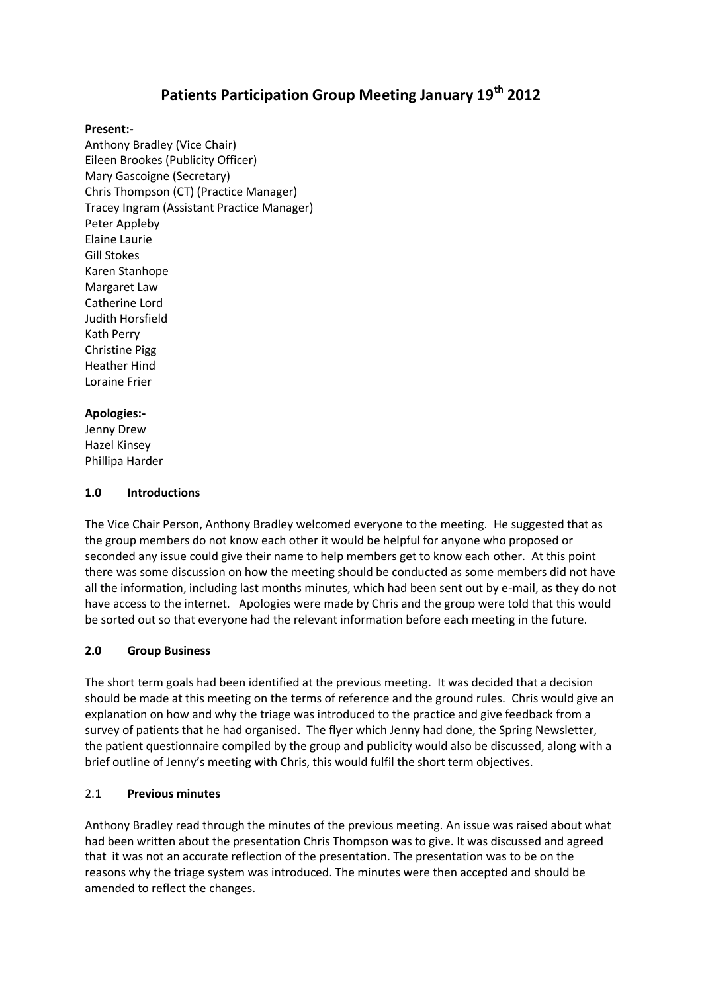# **Patients Participation Group Meeting January 19th 2012**

#### **Present:-**

Anthony Bradley (Vice Chair) Eileen Brookes (Publicity Officer) Mary Gascoigne (Secretary) Chris Thompson (CT) (Practice Manager) Tracey Ingram (Assistant Practice Manager) Peter Appleby Elaine Laurie Gill Stokes Karen Stanhope Margaret Law Catherine Lord Judith Horsfield Kath Perry Christine Pigg Heather Hind Loraine Frier

# **Apologies:-**

Jenny Drew Hazel Kinsey Phillipa Harder

#### **1.0 Introductions**

The Vice Chair Person, Anthony Bradley welcomed everyone to the meeting. He suggested that as the group members do not know each other it would be helpful for anyone who proposed or seconded any issue could give their name to help members get to know each other. At this point there was some discussion on how the meeting should be conducted as some members did not have all the information, including last months minutes, which had been sent out by e-mail, as they do not have access to the internet. Apologies were made by Chris and the group were told that this would be sorted out so that everyone had the relevant information before each meeting in the future.

# **2.0 Group Business**

The short term goals had been identified at the previous meeting. It was decided that a decision should be made at this meeting on the terms of reference and the ground rules. Chris would give an explanation on how and why the triage was introduced to the practice and give feedback from a survey of patients that he had organised. The flyer which Jenny had done, the Spring Newsletter, the patient questionnaire compiled by the group and publicity would also be discussed, along with a brief outline of Jenny's meeting with Chris, this would fulfil the short term objectives.

#### 2.1 **Previous minutes**

Anthony Bradley read through the minutes of the previous meeting. An issue was raised about what had been written about the presentation Chris Thompson was to give. It was discussed and agreed that it was not an accurate reflection of the presentation. The presentation was to be on the reasons why the triage system was introduced. The minutes were then accepted and should be amended to reflect the changes.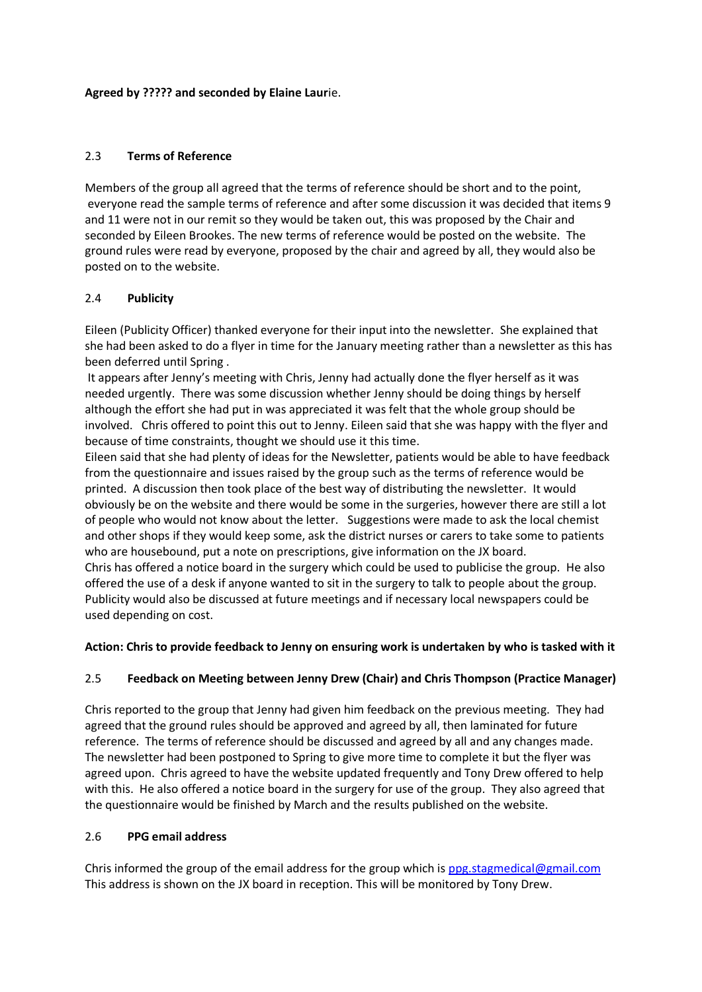#### **Agreed by ????? and seconded by Elaine Laur**ie.

## 2.3 **Terms of Reference**

Members of the group all agreed that the terms of reference should be short and to the point, everyone read the sample terms of reference and after some discussion it was decided that items 9 and 11 were not in our remit so they would be taken out, this was proposed by the Chair and seconded by Eileen Brookes. The new terms of reference would be posted on the website. The ground rules were read by everyone, proposed by the chair and agreed by all, they would also be posted on to the website.

# 2.4 **Publicity**

Eileen (Publicity Officer) thanked everyone for their input into the newsletter. She explained that she had been asked to do a flyer in time for the January meeting rather than a newsletter as this has been deferred until Spring .

It appears after Jenny's meeting with Chris, Jenny had actually done the flyer herself as it was needed urgently. There was some discussion whether Jenny should be doing things by herself although the effort she had put in was appreciated it was felt that the whole group should be involved. Chris offered to point this out to Jenny. Eileen said that she was happy with the flyer and because of time constraints, thought we should use it this time.

Eileen said that she had plenty of ideas for the Newsletter, patients would be able to have feedback from the questionnaire and issues raised by the group such as the terms of reference would be printed. A discussion then took place of the best way of distributing the newsletter. It would obviously be on the website and there would be some in the surgeries, however there are still a lot of people who would not know about the letter. Suggestions were made to ask the local chemist and other shops if they would keep some, ask the district nurses or carers to take some to patients who are housebound, put a note on prescriptions, give information on the JX board. Chris has offered a notice board in the surgery which could be used to publicise the group. He also offered the use of a desk if anyone wanted to sit in the surgery to talk to people about the group. Publicity would also be discussed at future meetings and if necessary local newspapers could be used depending on cost.

# **Action: Chris to provide feedback to Jenny on ensuring work is undertaken by who is tasked with it**

# 2.5 **Feedback on Meeting between Jenny Drew (Chair) and Chris Thompson (Practice Manager)**

Chris reported to the group that Jenny had given him feedback on the previous meeting. They had agreed that the ground rules should be approved and agreed by all, then laminated for future reference. The terms of reference should be discussed and agreed by all and any changes made. The newsletter had been postponed to Spring to give more time to complete it but the flyer was agreed upon. Chris agreed to have the website updated frequently and Tony Drew offered to help with this. He also offered a notice board in the surgery for use of the group. They also agreed that the questionnaire would be finished by March and the results published on the website.

#### 2.6 **PPG email address**

Chris informed the group of the email address for the group which is [ppg.stagmedical@gmail.com](mailto:ppg.stagmedical@gmail.com) This address is shown on the JX board in reception. This will be monitored by Tony Drew.